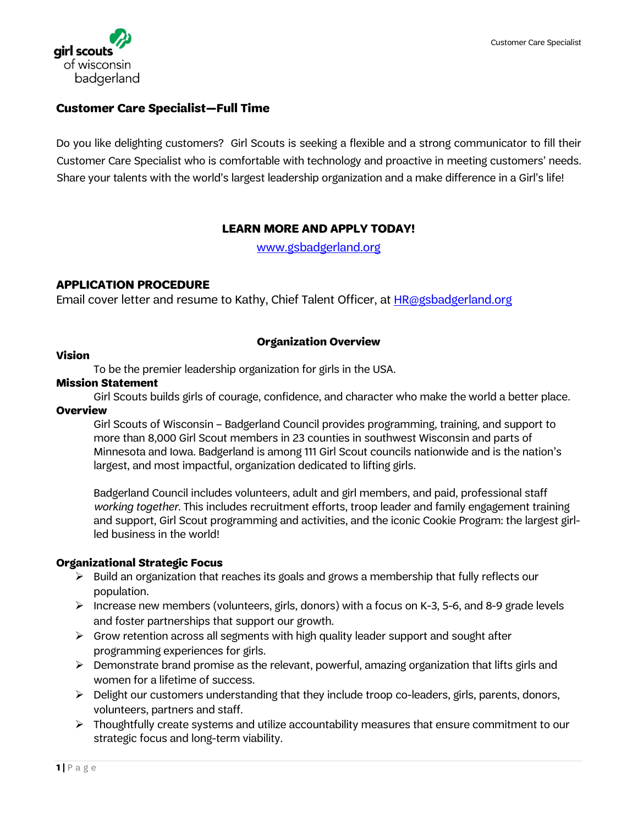

# **Customer Care Specialist—Full Time**

Do you like delighting customers? Girl Scouts is seeking a flexible and a strong communicator to fill their Customer Care Specialist who is comfortable with technology and proactive in meeting customers' needs. Share your talents with the world's largest leadership organization and a make difference in a Girl's life!

# **LEARN MORE AND APPLY TODAY!**

[www.gsbadgerland.org](http://www.gsbadgerland.org/)

### **APPLICATION PROCEDURE**

Email cover letter and resume to Kathy, Chief Talent Officer, at [HR@gsbadgerland.org](mailto:HR@gsbadgerland.org)

### **Organization Overview**

### **Vision**

To be the premier leadership organization for girls in the USA.

### **Mission Statement**

Girl Scouts builds girls of courage, confidence, and character who make the world a better place.

## **Overview**

Girl Scouts of Wisconsin – Badgerland Council provides programming, training, and support to more than 8,000 Girl Scout members in 23 counties in southwest Wisconsin and parts of Minnesota and Iowa. Badgerland is among 111 Girl Scout councils nationwide and is the nation's largest, and most impactful, organization dedicated to lifting girls.

Badgerland Council includes volunteers, adult and girl members, and paid, professional staff *working together*. This includes recruitment efforts, troop leader and family engagement training and support, Girl Scout programming and activities, and the iconic Cookie Program: the largest girlled business in the world!

### **Organizational Strategic Focus**

- $\triangleright$  Build an organization that reaches its goals and grows a membership that fully reflects our population.
- $\triangleright$  Increase new members (volunteers, girls, donors) with a focus on K-3, 5-6, and 8-9 grade levels and foster partnerships that support our growth.
- $\triangleright$  Grow retention across all segments with high quality leader support and sought after programming experiences for girls.
- $\triangleright$  Demonstrate brand promise as the relevant, powerful, amazing organization that lifts girls and women for a lifetime of success.
- $\triangleright$  Delight our customers understanding that they include troop co-leaders, girls, parents, donors, volunteers, partners and staff.
- $\triangleright$  Thoughtfully create systems and utilize accountability measures that ensure commitment to our strategic focus and long-term viability.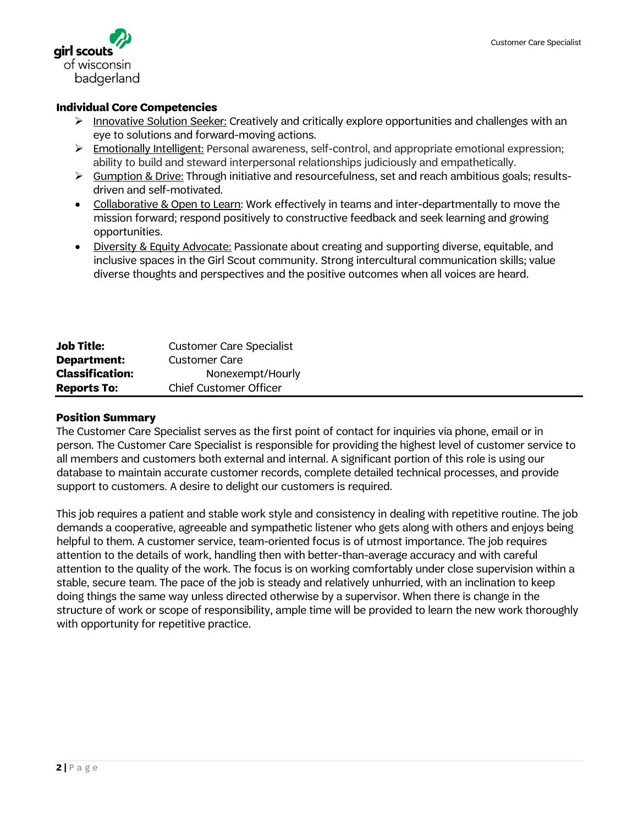

### **Individual Core Competencies**

- $\triangleright$  Innovative Solution Seeker: Creatively and critically explore opportunities and challenges with an eye to solutions and forward-moving actions.
- Emotionally Intelligent: Personal awareness, self-control, and appropriate emotional expression; ability to build and steward interpersonal relationships judiciously and empathetically.
- $\triangleright$  Gumption & Drive: Through initiative and resourcefulness, set and reach ambitious goals; resultsdriven and self-motivated.
- Collaborative & Open to Learn: Work effectively in teams and inter-departmentally to move the mission forward; respond positively to constructive feedback and seek learning and growing opportunities.
- Diversity & Equity Advocate: Passionate about creating and supporting diverse, equitable, and inclusive spaces in the Girl Scout community. Strong intercultural communication skills; value diverse thoughts and perspectives and the positive outcomes when all voices are heard.

| <b>Job Title:</b>      | <b>Customer Care Specialist</b> |
|------------------------|---------------------------------|
| Department:            | Customer Care                   |
| <b>Classification:</b> | Nonexempt/Hourly                |
| <b>Reports To:</b>     | Chief Customer Officer          |

#### **Position Summary**

The Customer Care Specialist serves as the first point of contact for inquiries via phone, email or in person. The Customer Care Specialist is responsible for providing the highest level of customer service to all members and customers both external and internal. A significant portion of this role is using our database to maintain accurate customer records, complete detailed technical processes, and provide support to customers. A desire to delight our customers is required.

This job requires a patient and stable work style and consistency in dealing with repetitive routine. The job demands a cooperative, agreeable and sympathetic listener who gets along with others and enjoys being helpful to them. A customer service, team-oriented focus is of utmost importance. The job requires attention to the details of work, handling then with better-than-average accuracy and with careful attention to the quality of the work. The focus is on working comfortably under close supervision within a stable, secure team. The pace of the job is steady and relatively unhurried, with an inclination to keep doing things the same way unless directed otherwise by a supervisor. When there is change in the structure of work or scope of responsibility, ample time will be provided to learn the new work thoroughly with opportunity for repetitive practice.